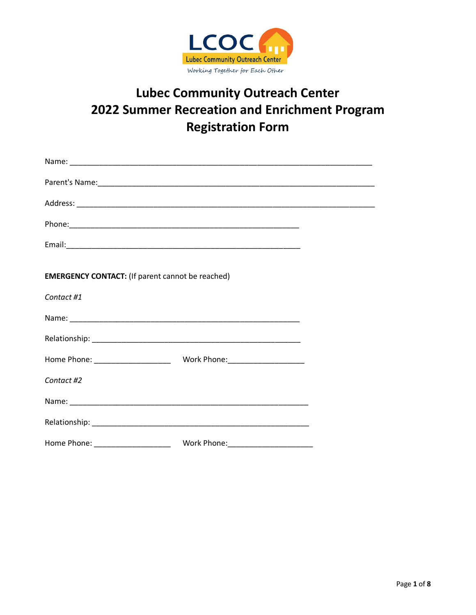

# **Lubec Community Outreach Center** 2022 Summer Recreation and Enrichment Program **Registration Form**

| <b>EMERGENCY CONTACT:</b> (If parent cannot be reached) |  |
|---------------------------------------------------------|--|
| Contact #1                                              |  |
|                                                         |  |
|                                                         |  |
|                                                         |  |
| Contact #2                                              |  |
|                                                         |  |
|                                                         |  |
|                                                         |  |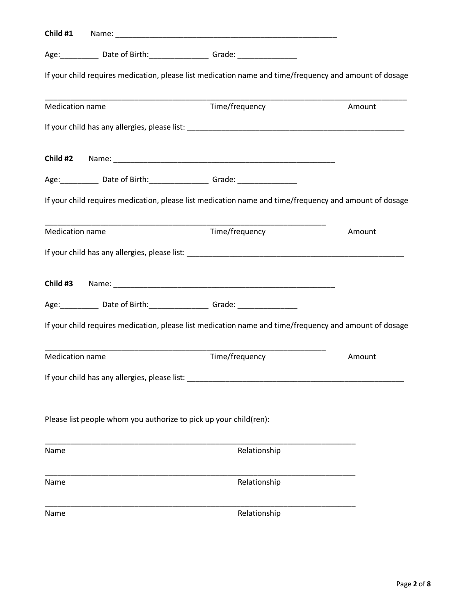|                        | Age: _____________ Date of Birth: ___________________ Grade: ___________________                       |        |
|------------------------|--------------------------------------------------------------------------------------------------------|--------|
|                        | If your child requires medication, please list medication name and time/frequency and amount of dosage |        |
| Medication name        | Time/frequency                                                                                         | Amount |
|                        |                                                                                                        |        |
|                        |                                                                                                        |        |
|                        | Age: ____________ Date of Birth: ___________________ Grade: ____________________                       |        |
|                        | If your child requires medication, please list medication name and time/frequency and amount of dosage |        |
| <b>Medication name</b> | Time/frequency                                                                                         | Amount |
|                        |                                                                                                        |        |
|                        |                                                                                                        |        |
|                        | Age: _____________ Date of Birth: ____________________ Grade: __________________                       |        |
|                        | If your child requires medication, please list medication name and time/frequency and amount of dosage |        |
| <b>Medication name</b> | Time/frequency                                                                                         | Amount |
|                        | If your child has any allergies, please list:                                                          |        |
|                        | Please list people whom you authorize to pick up your child(ren):                                      |        |
| Name                   | Relationship                                                                                           |        |
| Name                   | Relationship                                                                                           |        |
| Name                   | Relationship                                                                                           |        |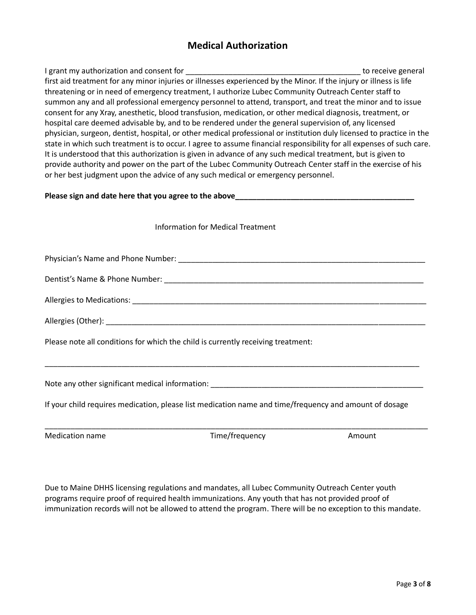## **Medical Authorization**

I grant my authorization and consent for \_\_\_\_\_\_\_\_\_\_\_\_\_\_\_\_\_\_\_\_\_\_\_\_\_\_\_\_\_\_\_\_\_\_\_\_\_\_\_\_\_ to receive general first aid treatment for any minor injuries or illnesses experienced by the Minor. If the injury or illness is life threatening or in need of emergency treatment, I authorize Lubec Community Outreach Center staff to summon any and all professional emergency personnel to attend, transport, and treat the minor and to issue consent for any Xray, anesthetic, blood transfusion, medication, or other medical diagnosis, treatment, or hospital care deemed advisable by, and to be rendered under the general supervision of, any licensed physician, surgeon, dentist, hospital, or other medical professional or institution duly licensed to practice in the state in which such treatment is to occur. I agree to assume financial responsibility for all expenses of such care. It is understood that this authorization is given in advance of any such medical treatment, but is given to provide authority and power on the part of the Lubec Community Outreach Center staff in the exercise of his or her best judgment upon the advice of any such medical or emergency personnel.

#### **Please sign and date here that you agree to the above\_\_\_\_\_\_\_\_\_\_\_\_\_\_\_\_\_\_\_\_\_\_\_\_\_\_\_\_\_\_\_\_\_\_\_\_\_\_\_\_\_\_**

| Information for Medical Treatment |  |  |
|-----------------------------------|--|--|
|-----------------------------------|--|--|

Physician's Name and Phone Number: \_\_\_\_\_\_\_\_\_\_\_\_\_\_\_\_\_\_\_\_\_\_\_\_\_\_\_\_\_\_\_\_\_\_\_\_\_\_\_\_\_\_\_\_\_\_\_\_\_\_\_\_\_\_\_\_\_\_ Dentist's Name & Phone Number: \_\_\_\_\_\_\_\_\_\_\_\_\_\_\_\_\_\_\_\_\_\_\_\_\_\_\_\_\_\_\_\_\_\_\_\_\_\_\_\_\_\_\_\_\_\_\_\_\_\_\_\_\_\_\_\_\_\_\_\_\_

Allergies (Other): **with a set of the set of the set of the set of the set of the set of the set of the set of the set of the set of the set of the set of the set of the set of the set of the set of the set of the set of t** 

Please note all conditions for which the child is currently receiving treatment:

Note any other significant medical information: \_\_\_\_\_\_\_\_\_\_\_\_\_\_\_\_\_\_\_\_\_\_\_\_\_\_\_\_\_\_\_\_

If your child requires medication, please list medication name and time/frequency and amount of dosage

\_\_\_\_\_\_\_\_\_\_\_\_\_\_\_\_\_\_\_\_\_\_\_\_\_\_\_\_\_\_\_\_\_\_\_\_\_\_\_\_\_\_\_\_\_\_\_\_\_\_\_\_\_\_\_\_\_\_\_\_\_\_\_\_\_\_\_\_\_\_\_\_\_\_\_\_\_\_\_\_\_\_\_\_\_\_\_\_

Medication name Time/frequency Amount

\_\_\_\_\_\_\_\_\_\_\_\_\_\_\_\_\_\_\_\_\_\_\_\_\_\_\_\_\_\_\_\_\_\_\_\_\_\_\_\_\_\_\_\_\_\_\_\_\_\_\_\_\_\_\_\_\_\_\_\_\_\_\_\_\_\_\_\_\_\_\_\_\_\_\_\_\_\_\_\_\_\_\_\_\_\_\_\_\_\_

Due to Maine DHHS licensing regulations and mandates, all Lubec Community Outreach Center youth programs require proof of required health immunizations. Any youth that has not provided proof of immunization records will not be allowed to attend the program. There will be no exception to this mandate.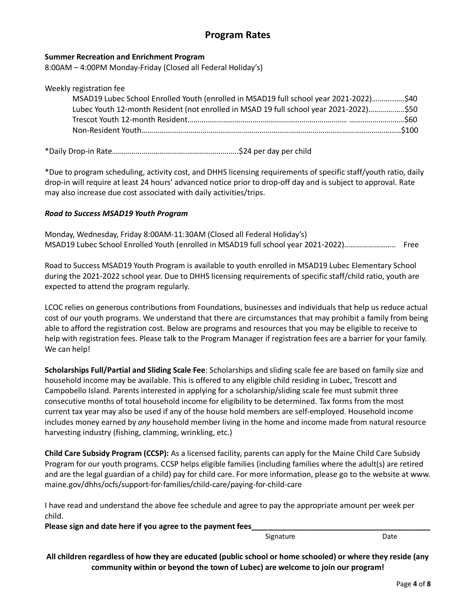## **Program Rates**

#### **Summer Recreation and Enrichment Program**

8:00AM – 4:00PM Monday-Friday (Closed all Federal Holiday's)

| Weekly registration fee                                                                |  |
|----------------------------------------------------------------------------------------|--|
| MSAD19 Lubec School Enrolled Youth (enrolled in MSAD19 full school year 2021-2022)\$40 |  |
| Lubec Youth 12-month Resident (not enrolled in MSAD 19 full school year 2021-2022)\$50 |  |
|                                                                                        |  |
|                                                                                        |  |
|                                                                                        |  |

\*Daily Drop-in Rate………………………………..……………………..\$24 per day per child

\*Due to program scheduling, activity cost, and DHHS licensing requirements of specific staff/youth ratio, daily drop-in will require at least 24 hours' advanced notice prior to drop-off day and is subject to approval. Rate may also increase due cost associated with daily activities/trips.

#### *Road to Success MSAD19 Youth Program*

Monday, Wednesday, Friday 8:00AM-11:30AM (Closed all Federal Holiday's) MSAD19 Lubec School Enrolled Youth (enrolled in MSAD19 full school year 2021-2022)…………………….. Free

Road to Success MSAD19 Youth Program is available to youth enrolled in MSAD19 Lubec Elementary School during the 2021-2022 school year. Due to DHHS licensing requirements of specific staff/child ratio, youth are expected to attend the program regularly.

LCOC relies on generous contributions from Foundations, businesses and individuals that help us reduce actual cost of our youth programs. We understand that there are circumstances that may prohibit a family from being able to afford the registration cost. Below are programs and resources that you may be eligible to receive to help with registration fees. Please talk to the Program Manager if registration fees are a barrier for your family. We can help!

**Scholarships Full/Partial and Sliding Scale Fee**: Scholarships and sliding scale fee are based on family size and household income may be available. This is offered to any eligible child residing in Lubec, Trescott and Campobello Island. Parents interested in applying for a scholarship/sliding scale fee must submit three consecutive months of total household income for eligibility to be determined. Tax forms from the most current tax year may also be used if any of the house hold members are self-employed. Household income includes money earned by *any* household member living in the home and income made from natural resource harvesting industry (fishing, clamming, wrinkling, etc.)

**Child Care Subsidy Program (CCSP):** As a licensed facility, parents can apply for the Maine Child Care Subsidy Program for our youth programs. CCSP helps eligible families (including families where the adult(s) are retired and are the legal guardian of a child) pay for child care. For more information, please go to the website at www. maine.gov/dhhs/ocfs/support-for-families/child-care/paying-for-child-care

I have read and understand the above fee schedule and agree to pay the appropriate amount per week per child.

**Please sign and date here if you agree to the payment fees\_\_\_\_\_\_\_\_\_\_\_\_\_\_\_\_\_\_\_\_\_\_\_\_\_\_\_\_\_\_\_\_\_\_\_\_\_\_\_\_\_\_**

Signature Date

**All children regardless of how they are educated (public school or home schooled) or where they reside (any community within or beyond the town of Lubec) are welcome to join our program!**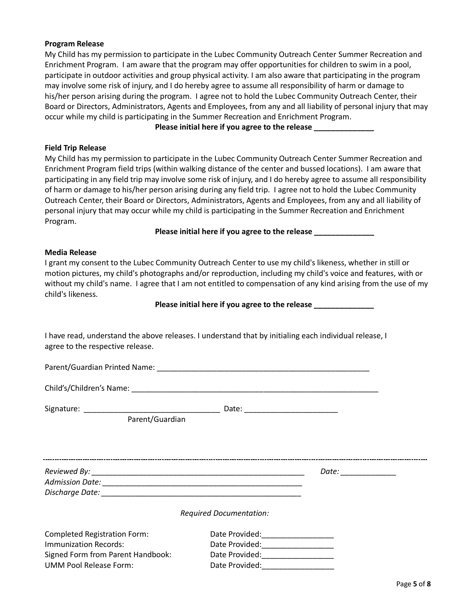#### **Program Release**

My Child has my permission to participate in the Lubec Community Outreach Center Summer Recreation and Enrichment Program. I am aware that the program may offer opportunities for children to swim in a pool, participate in outdoor activities and group physical activity. I am also aware that participating in the program may involve some risk of injury, and I do hereby agree to assume all responsibility of harm or damage to his/her person arising during the program. I agree not to hold the Lubec Community Outreach Center, their Board or Directors, Administrators, Agents and Employees, from any and all liability of personal injury that may occur while my child is participating in the Summer Recreation and Enrichment Program.

**Please initial here if you agree to the release \_\_\_\_\_\_\_\_\_\_\_\_\_\_**

#### **Field Trip Release**

My Child has my permission to participate in the Lubec Community Outreach Center Summer Recreation and Enrichment Program field trips (within walking distance of the center and bussed locations). I am aware that participating in any field trip may involve some risk of injury, and I do hereby agree to assume all responsibility of harm or damage to his/her person arising during any field trip. I agree not to hold the Lubec Community Outreach Center, their Board or Directors, Administrators, Agents and Employees, from any and all liability of personal injury that may occur while my child is participating in the Summer Recreation and Enrichment Program.

Please initial here if you agree to the release

#### **Media Release**

I grant my consent to the Lubec Community Outreach Center to use my child's likeness, whether in still or motion pictures, my child's photographs and/or reproduction, including my child's voice and features, with or without my child's name. I agree that I am not entitled to compensation of any kind arising from the use of my child's likeness.

**Please initial here if you agree to the release \_\_\_\_\_\_\_\_\_\_\_\_\_\_**

I have read, understand the above releases. I understand that by initialing each individual release, I agree to the respective release.

Parent/Guardian Printed Name: \_\_\_\_\_\_\_\_\_\_\_\_\_\_\_\_\_\_\_\_\_\_\_\_\_\_\_\_\_\_\_\_\_\_\_\_\_\_\_\_\_\_\_\_\_\_\_\_\_\_ Child's/Children's Name: \_\_\_\_\_\_\_\_\_\_\_\_\_\_\_\_\_\_\_\_\_\_\_\_\_\_\_\_\_\_\_\_\_\_\_\_\_\_\_\_\_\_\_\_\_\_\_\_\_\_\_\_\_\_\_\_\_\_ Signature: \_\_\_\_\_\_\_\_\_\_\_\_\_\_\_\_\_\_\_\_\_\_\_\_\_\_\_\_\_\_\_\_ Date: \_\_\_\_\_\_\_\_\_\_\_\_\_\_\_\_\_\_\_\_\_\_ Parent/Guardian *Reviewed By: \_\_\_\_\_\_\_\_\_\_\_\_\_\_\_\_\_\_\_\_\_\_\_\_\_\_\_\_\_\_\_\_\_\_\_\_\_\_\_\_\_\_\_\_\_\_\_\_\_\_ Date: \_\_\_\_\_\_\_\_\_\_\_\_\_ Admission Date: \_\_\_\_\_\_\_\_\_\_\_\_\_\_\_\_\_\_\_\_\_\_\_\_\_\_\_\_\_\_\_\_\_\_\_\_\_\_\_\_\_\_\_\_\_\_\_ Discharge Date: \_\_\_\_\_\_\_\_\_\_\_\_\_\_\_\_\_\_\_\_\_\_\_\_\_\_\_\_\_\_\_\_\_\_\_\_\_\_\_\_\_\_\_\_\_\_\_ Required Documentation:* Completed Registration Form: Date Provided: Completed Registration Form: Immunization Records: example and Date Provided: Signed Form from Parent Handbook: Date Provided: UMM Pool Release Form:  $D$  Date Provided: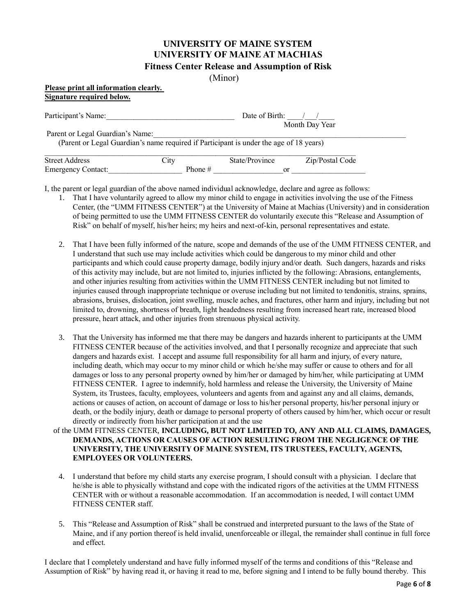### **UNIVERSITY OF MAINE SYSTEM UNIVERSITY OF MAINE AT MACHIAS Fitness Center Release and Assumption of Risk**

(Minor)

#### **Please print all information clearly. Signature required below.**

| Participant's Name:              |                                                                                        | Date of Birth: | Month Day Year  |  |
|----------------------------------|----------------------------------------------------------------------------------------|----------------|-----------------|--|
| Parent or Legal Guardian's Name: | (Parent or Legal Guardian's name required if Participant is under the age of 18 years) |                |                 |  |
| <b>Street Address</b>            | City                                                                                   | State/Province | Zip/Postal Code |  |
| <b>Emergency Contact:</b>        | Phone $#$                                                                              | or             |                 |  |

I, the parent or legal guardian of the above named individual acknowledge, declare and agree as follows:

- 1. That I have voluntarily agreed to allow my minor child to engage in activities involving the use of the Fitness Center, (the "UMM FITNESS CENTER") at the University of Maine at Machias (University) and in consideration of being permitted to use the UMM FITNESS CENTER do voluntarily execute this "Release and Assumption of Risk" on behalf of myself, his/her heirs; my heirs and next-of-kin, personal representatives and estate.
- 2. That I have been fully informed of the nature, scope and demands of the use of the UMM FITNESS CENTER, and I understand that such use may include activities which could be dangerous to my minor child and other participants and which could cause property damage, bodily injury and/or death. Such dangers, hazards and risks of this activity may include, but are not limited to, injuries inflicted by the following: Abrasions, entanglements, and other injuries resulting from activities within the UMM FITNESS CENTER including but not limited to injuries caused through inappropriate technique or overuse including but not limited to tendonitis, strains, sprains, abrasions, bruises, dislocation, joint swelling, muscle aches, and fractures, other harm and injury, including but not limited to, drowning, shortness of breath, light headedness resulting from increased heart rate, increased blood pressure, heart attack, and other injuries from strenuous physical activity.
- 3. That the University has informed me that there may be dangers and hazards inherent to participants at the UMM FITNESS CENTER because of the activities involved, and that I personally recognize and appreciate that such dangers and hazards exist. I accept and assume full responsibility for all harm and injury, of every nature, including death, which may occur to my minor child or which he/she may suffer or cause to others and for all damages or loss to any personal property owned by him/her or damaged by him/her, while participating at UMM FITNESS CENTER. I agree to indemnify, hold harmless and release the University, the University of Maine System, its Trustees, faculty, employees, volunteers and agents from and against any and all claims, demands, actions or causes of action, on account of damage or loss to his/her personal property, his/her personal injury or death, or the bodily injury, death or damage to personal property of others caused by him/her, which occur or result directly or indirectly from his/her participation at and the use
- of the UMM FITNESS CENTER, **INCLUDING, BUT NOT LIMITED TO, ANY AND ALL CLAIMS, DAMAGES, DEMANDS, ACTIONS OR CAUSES OF ACTION RESULTING FROM THE NEGLIGENCE OF THE UNIVERSITY, THE UNIVERSITY OF MAINE SYSTEM, ITS TRUSTEES, FACULTY, AGENTS, EMPLOYEES OR VOLUNTEERS.**
	- 4. I understand that before my child starts any exercise program, I should consult with a physician. I declare that he/she is able to physically withstand and cope with the indicated rigors of the activities at the UMM FITNESS CENTER with or without a reasonable accommodation. If an accommodation is needed, I will contact UMM FITNESS CENTER staff.
	- 5. This "Release and Assumption of Risk" shall be construed and interpreted pursuant to the laws of the State of Maine, and if any portion thereof is held invalid, unenforceable or illegal, the remainder shall continue in full force and effect.

I declare that I completely understand and have fully informed myself of the terms and conditions of this "Release and Assumption of Risk" by having read it, or having it read to me, before signing and I intend to be fully bound thereby. This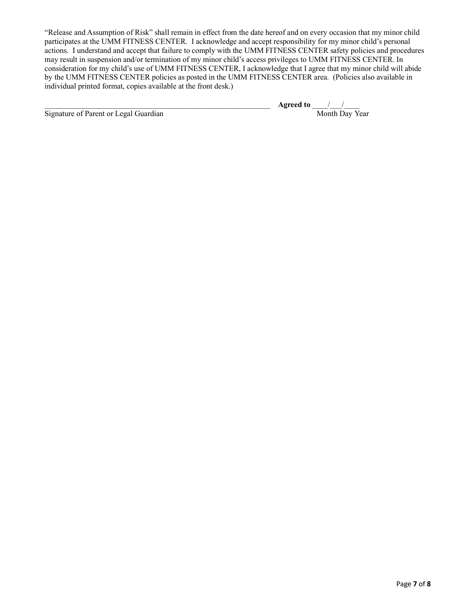"Release and Assumption of Risk" shall remain in effect from the date hereof and on every occasion that my minor child participates at the UMM FITNESS CENTER. I acknowledge and accept responsibility for my minor child's personal actions. I understand and accept that failure to comply with the UMM FITNESS CENTER safety policies and procedures may result in suspension and/or termination of my minor child's access privileges to UMM FITNESS CENTER. In consideration for my child's use of UMM FITNESS CENTER, I acknowledge that I agree that my minor child will abide by the UMM FITNESS CENTER policies as posted in the UMM FITNESS CENTER area. (Policies also available in individual printed format, copies available at the front desk.)

Signature of Parent or Legal Guardian Month Day Year Month Day Year

\_\_\_\_\_\_\_\_\_\_\_\_\_\_\_\_\_\_\_\_\_\_\_\_\_\_\_\_\_\_\_\_\_\_\_\_\_\_\_\_\_\_\_\_\_\_\_\_\_\_\_\_\_\_\_\_\_\_ **Agreed to** \_\_\_\_/\_\_\_/\_\_\_\_